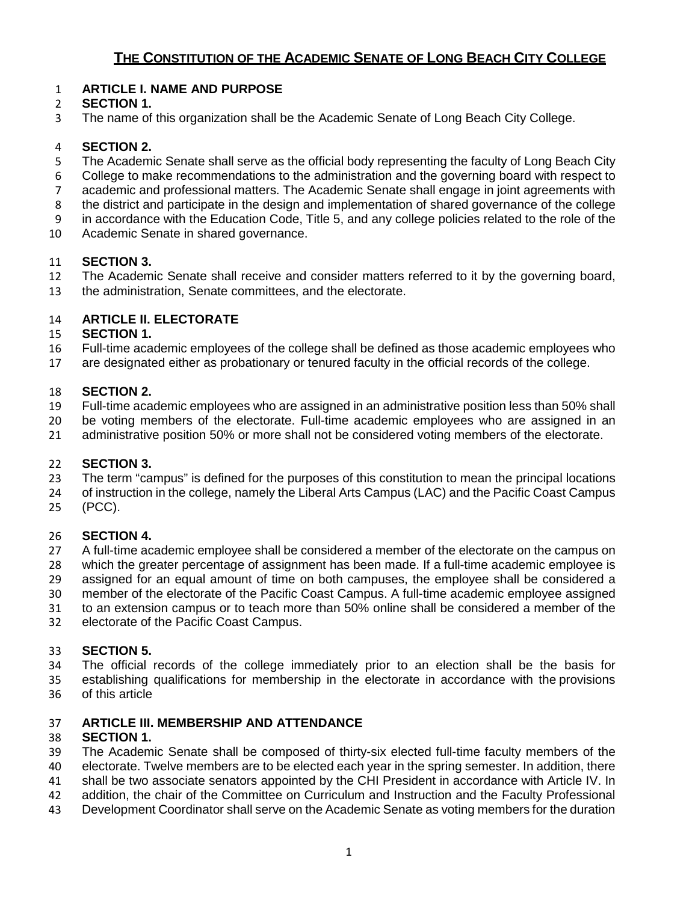#### **ARTICLE I. NAME AND PURPOSE**

#### **SECTION 1.**

The name of this organization shall be the Academic Senate of Long Beach City College.

#### **SECTION 2.**

- 5 The Academic Senate shall serve as the official body representing the faculty of Long Beach City
- College to make recommendations to the administration and the governing board with respect to
- academic and professional matters. The Academic Senate shall engage in joint agreements with
- the district and participate in the design and implementation of shared governance of the college
- in accordance with the Education Code, Title 5, and any college policies related to the role of the
- Academic Senate in shared governance.

#### **SECTION 3.**

- The Academic Senate shall receive and consider matters referred to it by the governing board,
- the administration, Senate committees, and the electorate.

#### **ARTICLE II. ELECTORATE**

#### **SECTION 1.**

- Full-time academic employees of the college shall be defined as those academic employees who
- are designated either as probationary or tenured faculty in the official records of the college.

#### **SECTION 2.**

- Full-time academic employees who are assigned in an administrative position less than 50% shall
- be voting members of the electorate. Full-time academic employees who are assigned in an
- administrative position 50% or more shall not be considered voting members of the electorate.

#### **SECTION 3.**

- The term "campus" is defined for the purposes of this constitution to mean the principal locations
- of instruction in the college, namely the Liberal Arts Campus (LAC) and the Pacific Coast Campus
- (PCC).

#### **SECTION 4.**

- A full-time academic employee shall be considered a member of the electorate on the campus on which the greater percentage of assignment has been made. If a full-time academic employee is assigned for an equal amount of time on both campuses, the employee shall be considered a member of the electorate of the Pacific Coast Campus. A full-time academic employee assigned
- to an extension campus or to teach more than 50% online shall be considered a member of the
- electorate of the Pacific Coast Campus.

#### **SECTION 5.**

- The official records of the college immediately prior to an election shall be the basis for establishing qualifications for membership in the electorate in accordance with the provisions
- of this article

#### **ARTICLE III. MEMBERSHIP AND ATTENDANCE**

#### **SECTION 1.**

- The Academic Senate shall be composed of thirty-six elected full-time faculty members of the
- electorate. Twelve members are to be elected each year in the spring semester. In addition, there
- shall be two associate senators appointed by the CHI President in accordance with Article IV. In
- addition, the chair of the Committee on Curriculum and Instruction and the Faculty Professional
- Development Coordinator shall serve on the Academic Senate as voting members for the duration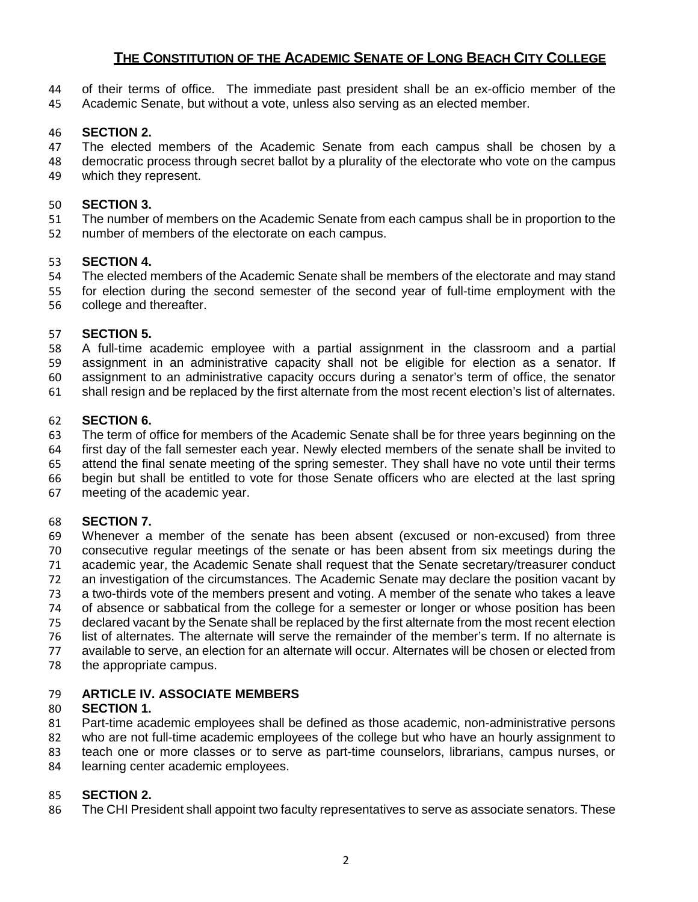- of their terms of office. The immediate past president shall be an ex-officio member of the
- Academic Senate, but without a vote, unless also serving as an elected member.

# **SECTION 2.**

- The elected members of the Academic Senate from each campus shall be chosen by a
- democratic process through secret ballot by a plurality of the electorate who vote on the campus which they represent.

## **SECTION 3.**

- The number of members on the Academic Senate from each campus shall be in proportion to the
- number of members of the electorate on each campus.

# **SECTION 4.**

- The elected members of the Academic Senate shall be members of the electorate and may stand
- for election during the second semester of the second year of full-time employment with the college and thereafter.

# **SECTION 5.**

- A full-time academic employee with a partial assignment in the classroom and a partial
- assignment in an administrative capacity shall not be eligible for election as a senator. If assignment to an administrative capacity occurs during a senator's term of office, the senator
- shall resign and be replaced by the first alternate from the most recent election's list of alternates.

# **SECTION 6.**

- The term of office for members of the Academic Senate shall be for three years beginning on the first day of the fall semester each year. Newly elected members of the senate shall be invited to
- attend the final senate meeting of the spring semester. They shall have no vote until their terms
- begin but shall be entitled to vote for those Senate officers who are elected at the last spring
- meeting of the academic year.

# **SECTION 7.**

- Whenever a member of the senate has been absent (excused or non-excused) from three consecutive regular meetings of the senate or has been absent from six meetings during the academic year, the Academic Senate shall request that the Senate secretary/treasurer conduct an investigation of the circumstances. The Academic Senate may declare the position vacant by a two-thirds vote of the members present and voting. A member of the senate who takes a leave of absence or sabbatical from the college for a semester or longer or whose position has been declared vacant by the Senate shall be replaced by the first alternate from the most recent election list of alternates. The alternate will serve the remainder of the member's term. If no alternate is available to serve, an election for an alternate will occur. Alternates will be chosen or elected from
- the appropriate campus.

# **ARTICLE IV. ASSOCIATE MEMBERS**

# **SECTION 1.**

- Part-time academic employees shall be defined as those academic, non-administrative persons
- who are not full-time academic employees of the college but who have an hourly assignment to
- teach one or more classes or to serve as part-time counselors, librarians, campus nurses, or
- learning center academic employees.

# **SECTION 2.**

The CHI President shall appoint two faculty representatives to serve as associate senators. These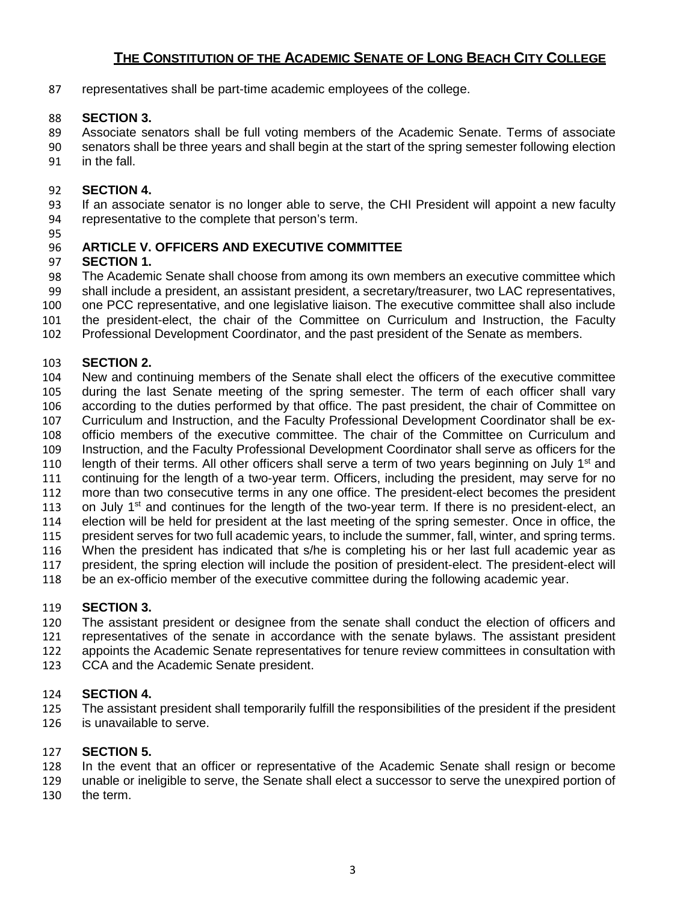representatives shall be part-time academic employees of the college.

#### **SECTION 3.**

- Associate senators shall be full voting members of the Academic Senate. Terms of associate
- senators shall be three years and shall begin at the start of the spring semester following election
- in the fall.

#### **SECTION 4.**

 If an associate senator is no longer able to serve, the CHI President will appoint a new faculty representative to the complete that person's term.

# **ARTICLE V. OFFICERS AND EXECUTIVE COMMITTEE**

# **SECTION 1.**

- The Academic Senate shall choose from among its own members an executive committee which
- shall include a president, an assistant president, a secretary/treasurer, two LAC representatives,
- one PCC representative, and one legislative liaison. The executive committee shall also include
- the president-elect, the chair of the Committee on Curriculum and Instruction, the Faculty
- Professional Development Coordinator, and the past president of the Senate as members.

# **SECTION 2.**

- New and continuing members of the Senate shall elect the officers of the executive committee during the last Senate meeting of the spring semester. The term of each officer shall vary according to the duties performed by that office. The past president, the chair of Committee on Curriculum and Instruction, and the Faculty Professional Development Coordinator shall be ex- officio members of the executive committee. The chair of the Committee on Curriculum and Instruction, and the Faculty Professional Development Coordinator shall serve as officers for the 110 length of their terms. All other officers shall serve a term of two years beginning on July  $1<sup>st</sup>$  and continuing for the length of a two-year term. Officers, including the president, may serve for no more than two consecutive terms in any one office. The president-elect becomes the president 113 on July 1<sup>st</sup> and continues for the length of the two-year term. If there is no president-elect, an election will be held for president at the last meeting of the spring semester. Once in office, the president serves for two full academic years, to include the summer, fall, winter, and spring terms. When the president has indicated that s/he is completing his or her last full academic year as president, the spring election will include the position of president-elect. The president-elect will
- be an ex-officio member of the executive committee during the following academic year.

# **SECTION 3.**

- The assistant president or designee from the senate shall conduct the election of officers and representatives of the senate in accordance with the senate bylaws. The assistant president appoints the Academic Senate representatives for tenure review committees in consultation with
- CCA and the Academic Senate president.

#### **SECTION 4.**

 The assistant president shall temporarily fulfill the responsibilities of the president if the president is unavailable to serve.

#### **SECTION 5.**

- In the event that an officer or representative of the Academic Senate shall resign or become
- unable or ineligible to serve, the Senate shall elect a successor to serve the unexpired portion of
- the term.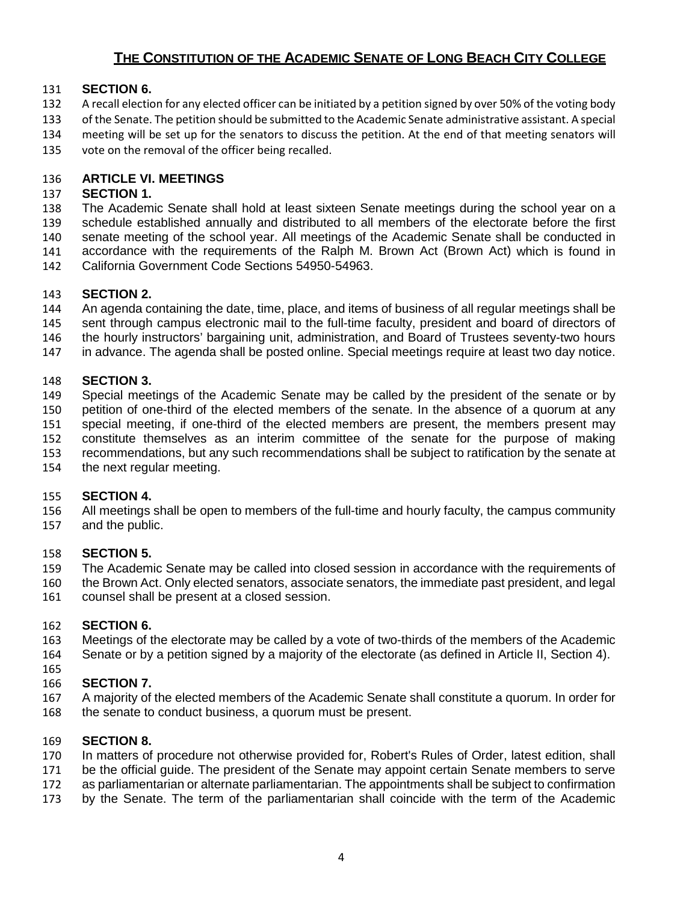#### **SECTION 6.**

- A recall election for any elected officer can be initiated by a petition signed by over 50% of the voting body
- of the Senate. The petition should be submitted to the Academic Senate administrative assistant. A special
- meeting will be set up for the senators to discuss the petition. At the end of that meeting senators will
- vote on the removal of the officer being recalled.

#### **ARTICLE VI. MEETINGS**

#### **SECTION 1.**

 The Academic Senate shall hold at least sixteen Senate meetings during the school year on a schedule established annually and distributed to all members of the electorate before the first senate meeting of the school year. All meetings of the Academic Senate shall be conducted in accordance with the requirements of the Ralph M. Brown Act (Brown Act) which is found in

California Government Code Sections 54950-54963.

#### **SECTION 2.**

 An agenda containing the date, time, place, and items of business of all regular meetings shall be sent through campus electronic mail to the full-time faculty, president and board of directors of

- 146 the hourly instructors' bargaining unit, administration, and Board of Trustees seventy-two hours
- in advance. The agenda shall be posted online. Special meetings require at least two day notice.

#### **SECTION 3.**

 Special meetings of the Academic Senate may be called by the president of the senate or by petition of one-third of the elected members of the senate. In the absence of a quorum at any special meeting, if one-third of the elected members are present, the members present may constitute themselves as an interim committee of the senate for the purpose of making

- recommendations, but any such recommendations shall be subject to ratification by the senate at
- the next regular meeting.

#### **SECTION 4.**

 All meetings shall be open to members of the full-time and hourly faculty, the campus community and the public.

#### **SECTION 5.**

The Academic Senate may be called into closed session in accordance with the requirements of

 the Brown Act. Only elected senators, associate senators, the immediate past president, and legal counsel shall be present at a closed session.

#### **SECTION 6.**

 Meetings of the electorate may be called by a vote of two-thirds of the members of the Academic Senate or by a petition signed by a majority of the electorate (as defined in Article II, Section 4).

#### **SECTION 7.**

 A majority of the elected members of the Academic Senate shall constitute a quorum. In order for the senate to conduct business, a quorum must be present.

#### **SECTION 8.**

In matters of procedure not otherwise provided for, Robert's Rules of Order, latest edition, shall

171 be the official guide. The president of the Senate may appoint certain Senate members to serve

- as parliamentarian or alternate parliamentarian. The appointments shall be subject to confirmation
- by the Senate. The term of the parliamentarian shall coincide with the term of the Academic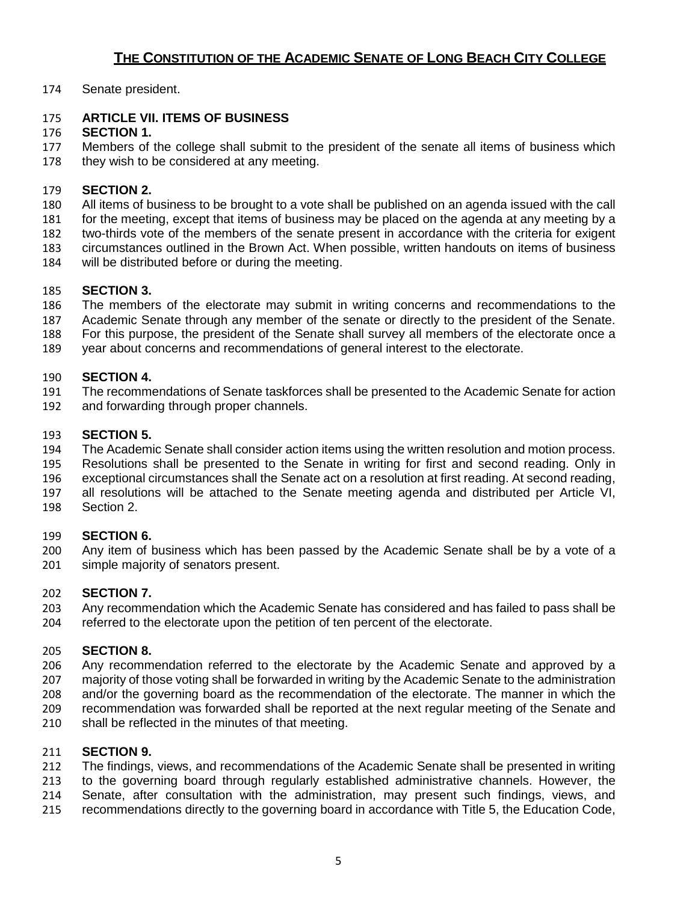Senate president.

## **ARTICLE VII. ITEMS OF BUSINESS**

## **SECTION 1.**

 Members of the college shall submit to the president of the senate all items of business which 178 they wish to be considered at any meeting.

#### **SECTION 2.**

All items of business to be brought to a vote shall be published on an agenda issued with the call

for the meeting, except that items of business may be placed on the agenda at any meeting by a

two-thirds vote of the members of the senate present in accordance with the criteria for exigent

circumstances outlined in the Brown Act. When possible, written handouts on items of business

will be distributed before or during the meeting.

# **SECTION 3.**

The members of the electorate may submit in writing concerns and recommendations to the

- Academic Senate through any member of the senate or directly to the president of the Senate.
- For this purpose, the president of the Senate shall survey all members of the electorate once a
- year about concerns and recommendations of general interest to the electorate.

#### **SECTION 4.**

- The recommendations of Senate taskforces shall be presented to the Academic Senate for action
- and forwarding through proper channels.

# **SECTION 5.**

The Academic Senate shall consider action items using the written resolution and motion process.

- Resolutions shall be presented to the Senate in writing for first and second reading. Only in
- exceptional circumstances shall the Senate act on a resolution at first reading. At second reading,
- all resolutions will be attached to the Senate meeting agenda and distributed per Article VI, Section 2.

#### **SECTION 6.**

 Any item of business which has been passed by the Academic Senate shall be by a vote of a simple majority of senators present.

#### **SECTION 7.**

 Any recommendation which the Academic Senate has considered and has failed to pass shall be referred to the electorate upon the petition of ten percent of the electorate.

#### **SECTION 8.**

 Any recommendation referred to the electorate by the Academic Senate and approved by a majority of those voting shall be forwarded in writing by the Academic Senate to the administration and/or the governing board as the recommendation of the electorate. The manner in which the recommendation was forwarded shall be reported at the next regular meeting of the Senate and

shall be reflected in the minutes of that meeting.

# **SECTION 9.**

 The findings, views, and recommendations of the Academic Senate shall be presented in writing to the governing board through regularly established administrative channels. However, the

- Senate, after consultation with the administration, may present such findings, views, and
- recommendations directly to the governing board in accordance with Title 5, the Education Code,